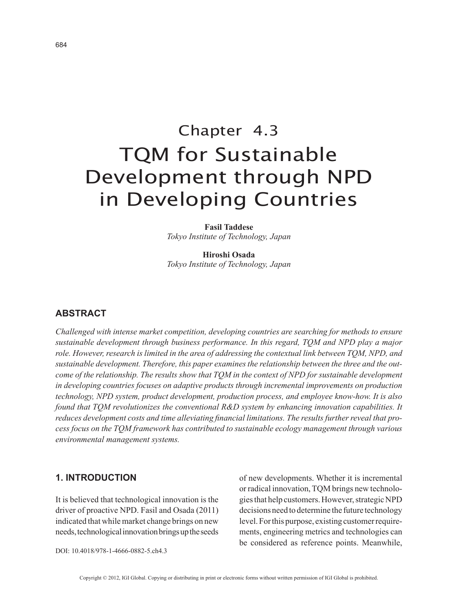# Chapter 4.3 TQM for Sustainable Development through NPD in Developing Countries

**Fasil Taddese** *Tokyo Institute of Technology, Japan*

**Hiroshi Osada** *Tokyo Institute of Technology, Japan*

## **ABSTRACT**

*Challenged with intense market competition, developing countries are searching for methods to ensure sustainable development through business performance. In this regard, TQM and NPD play a major role. However, research is limited in the area of addressing the contextual link between TQM, NPD, and sustainable development. Therefore, this paper examines the relationship between the three and the outcome of the relationship. The results show that TQM in the context of NPD for sustainable development in developing countries focuses on adaptive products through incremental improvements on production technology, NPD system, product development, production process, and employee know-how. It is also found that TQM revolutionizes the conventional R&D system by enhancing innovation capabilities. It reduces development costs and time alleviating financial limitations. The results further reveal that process focus on the TQM framework has contributed to sustainable ecology management through various environmental management systems.*

#### **1. INTRODUCTION**

It is believed that technological innovation is the driver of proactive NPD. Fasil and Osada (2011) indicated that while market change brings on new needs, technological innovation brings up the seeds of new developments. Whether it is incremental or radical innovation, TQM brings new technologies that help customers. However, strategic NPD decisions need to determine the future technology level. For this purpose, existing customer requirements, engineering metrics and technologies can be considered as reference points. Meanwhile,

DOI: 10.4018/978-1-4666-0882-5.ch4.3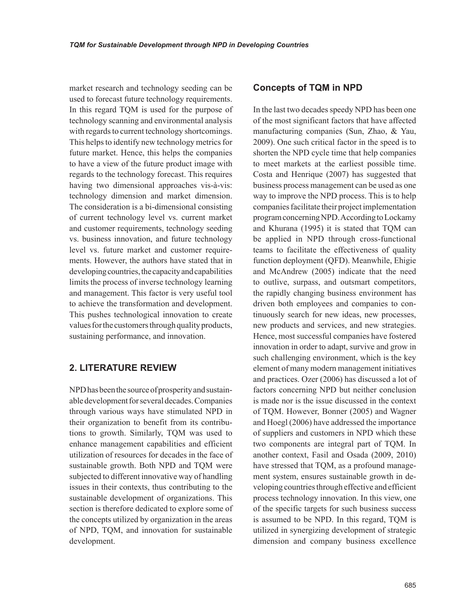market research and technology seeding can be used to forecast future technology requirements. In this regard TQM is used for the purpose of technology scanning and environmental analysis with regards to current technology shortcomings. This helps to identify new technology metrics for future market. Hence, this helps the companies to have a view of the future product image with regards to the technology forecast. This requires having two dimensional approaches vis-à-vis: technology dimension and market dimension. The consideration is a bi-dimensional consisting of current technology level vs. current market and customer requirements, technology seeding vs. business innovation, and future technology level vs. future market and customer requirements. However, the authors have stated that in developing countries, the capacity and capabilities limits the process of inverse technology learning and management. This factor is very useful tool to achieve the transformation and development. This pushes technological innovation to create values for the customers through quality products, sustaining performance, and innovation.

## **2. LITERATURE REVIEW**

NPD has been the source of prosperity and sustainable development for several decades. Companies through various ways have stimulated NPD in their organization to benefit from its contributions to growth. Similarly, TQM was used to enhance management capabilities and efficient utilization of resources for decades in the face of sustainable growth. Both NPD and TQM were subjected to different innovative way of handling issues in their contexts, thus contributing to the sustainable development of organizations. This section is therefore dedicated to explore some of the concepts utilized by organization in the areas of NPD, TQM, and innovation for sustainable development.

#### **Concepts of TQM in NPD**

In the last two decades speedy NPD has been one of the most significant factors that have affected manufacturing companies (Sun, Zhao, & Yau, 2009). One such critical factor in the speed is to shorten the NPD cycle time that help companies to meet markets at the earliest possible time. Costa and Henrique (2007) has suggested that business process management can be used as one way to improve the NPD process. This is to help companies facilitate their project implementation program concerning NPD. According to Lockamy and Khurana (1995) it is stated that TQM can be applied in NPD through cross-functional teams to facilitate the effectiveness of quality function deployment (QFD). Meanwhile, Ehigie and McAndrew (2005) indicate that the need to outlive, surpass, and outsmart competitors, the rapidly changing business environment has driven both employees and companies to continuously search for new ideas, new processes, new products and services, and new strategies. Hence, most successful companies have fostered innovation in order to adapt, survive and grow in such challenging environment, which is the key element of many modern management initiatives and practices. Ozer (2006) has discussed a lot of factors concerning NPD but neither conclusion is made nor is the issue discussed in the context of TQM. However, Bonner (2005) and Wagner and Hoegl (2006) have addressed the importance of suppliers and customers in NPD which these two components are integral part of TQM. In another context, Fasil and Osada (2009, 2010) have stressed that TQM, as a profound management system, ensures sustainable growth in developing countries through effective and efficient process technology innovation. In this view, one of the specific targets for such business success is assumed to be NPD. In this regard, TQM is utilized in synergizing development of strategic dimension and company business excellence